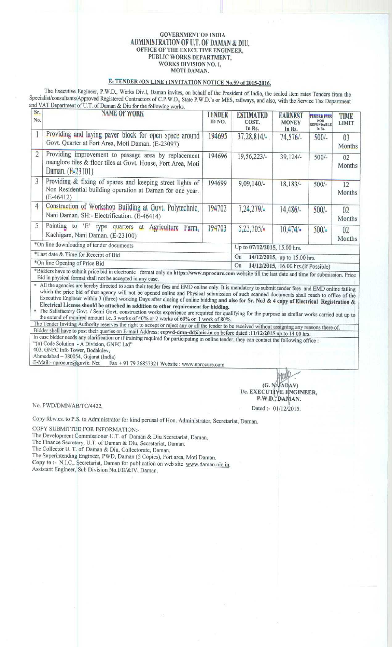## GOVERNMENT OF INDIA ADMINISTRATION OF U.T. OF DAMAN & DIU, OFFICE OF THE EXECUTIVE ENGINEER, PUBLIC WORKS DEPARTMENT, WORKS DIVISION NO. 1, MOTI DAMAN.

## **E- TENDER** (ON LINE) INVITATION NOTICE **No 59 of 2015-2016**.

The Executive **Engineer**, P.W.D., Works **Div.l, Daman invites**, **on behalf of the President of India**, **the sealed item rates Tenders from the Specialist**/**consultants**/Approved **Registered** Contractors of C.P.W.D., State P.W.D.'s or MES, **railways**, **and also, with the Service Tax Department** and VAT Department of U.T. **of Daman & Diu** for the following works

| Sr.<br>No.                               | <b>NAME OF WORK</b>                                                                                                                      | TENDER<br>ID NO.                          | <b>ESTIMATED</b><br>COST.<br>In Rs. | <b>EARNEST</b><br><b>MONEY</b><br>In Rs. | <b>TENDER FEES</b><br><b>NON</b><br><b>REFUNDABLE</b><br>In Rs. | TIME<br><b>LIMIT</b>     |
|------------------------------------------|------------------------------------------------------------------------------------------------------------------------------------------|-------------------------------------------|-------------------------------------|------------------------------------------|-----------------------------------------------------------------|--------------------------|
|                                          | Providing and laying paver block for open space around<br>Govt. Quarter at Fort Area, Moti Daman. (E-23097)                              | 194695                                    | 37,28,814/                          | $74,576/-$                               | $500/-$                                                         | 0 <sup>3</sup><br>Months |
| $\overline{2}$                           | Providing improvement to passage area by replacement<br>manglore tiles & floor tiles at Govt. House, Fort Area, Moti<br>Daman. (E-23101) | 194696                                    | 19,56,223/-                         | $39,124/-$                               | $500/-$                                                         | 02<br>Months             |
| 3                                        | Providing & fixing of spares and keeping street lights of<br>Non Residential building operation at Daman for one year.<br>$(E-46412)$    | 194699                                    | $9,09,140/-$                        | $18,183/-$                               | $500/-$                                                         | 12<br>Months             |
| 4                                        | Construction of Workshop Building at Govt. Polytechnic,<br>Nani Daman. SH:- Electrification. (E-46414)                                   | 194702                                    | 7,24,279/                           | 14,486/                                  | $500/-$                                                         | 02<br>Months             |
| 5                                        | Painting to<br>'E' type quarters at Agriculture<br>Farm.<br>Kachigam, Nani Daman. (E-23100)                                              | 194703                                    | 5,23,705/                           | 10.474/                                  | $500/-$                                                         | 02<br>Months             |
| *On line downloading of tender documents |                                                                                                                                          | Up to 07/12/2015, 15.00 hrs.              |                                     |                                          |                                                                 |                          |
| *Last date & Time for Receipt of Bid     |                                                                                                                                          |                                           | On<br>14/12/2015, up to 15.00 hrs.  |                                          |                                                                 |                          |
| *On line Opening of Price Bid            |                                                                                                                                          | On<br>14/12/2015, 16.00 hrs.(if Possible) |                                     |                                          |                                                                 |                          |

\*Bidders have to submit price bid in electronic format only on **https**://**www.nprocure** .com website till the last date and time for submission . Price Bid in physical format shall not be accepted in any case.

n All the agencies are hereby directed to scan their tender fees and EMD online only. It is mandatory to submit tender fees and EMD online failing which the price bid of that agency will not be opened online and Physical submission of such scanned documents shall reach to office of the Executive Engineer within 3 (three) working Days after closing of online bidding **and also** for Sr. No3 & 4 **copy of Electrical Registration & Electrical License should be attached in addition to other requirement for bidding.**

The Satisfactory Govt. / Semi Govt. construction works experience are required for qualifying for the purpose as similar works carried out up to<br>the extend of required amount i.e. 3 works of 40% or 2 works of 60% or 1 work

The Tender Inviting Authority reserves the right to accept or reject any or all the tender to be received without assigning any reasons there of Bidder shall have to post their queries on E-mail Address: eepwd-dmn-dd@nic.in on before dated :11/12/2015 up to 14.00 hrs. In case bidder needs any clarification or if training required for participating in online tender, they can contact the following office :

"(n) Code Solution - A Division, GNFC Ltd"

403, GNFC Info Tower, Bodakdev,

Ahmedabad - 380054, Gujarat (India)

E-Mail:- nprocure@gnvfc. Net Fax + 91 79 26857321 Website : www.nprocure.com

 $(G, N, \mathcal{F} \triangleleft D \triangleleft V)$ I/c. EXECUTtyE **<sup>N</sup>**GINEER, P.W.D., DAMAN.

No. PWD/DMN/AB/TC/4422,

Copy fd. **w.cs. to P.S. to Administrator for kind perusal of Hon** . **Administrator**, **Secretariat, Daman.**

COPY SUBMITTED FOR INFORMATION:-

**The Development Commissioner** U.T. of **Daman** & **Diu Secretariat**, **Daman.**

**The Finance Secretary**, U.T. of **Daman & Diu** , **Secretariat**, **Daman.**

The Collector **U. T. of Daman** & **Diu, Collectorate**, **Daman.**

**The Superintending Engineer, PWD, Daman** (5 Copies), **Fort area**, **Moti Daman.**

**Copy to :- N.I.C**., **Secretariat**, **Daman for publication on web site www.daman** . **nic.in. Assistant Engineer**, **Sub Division No.1/Il/&IV, Daman.**

Dated:- 01/12/2015.